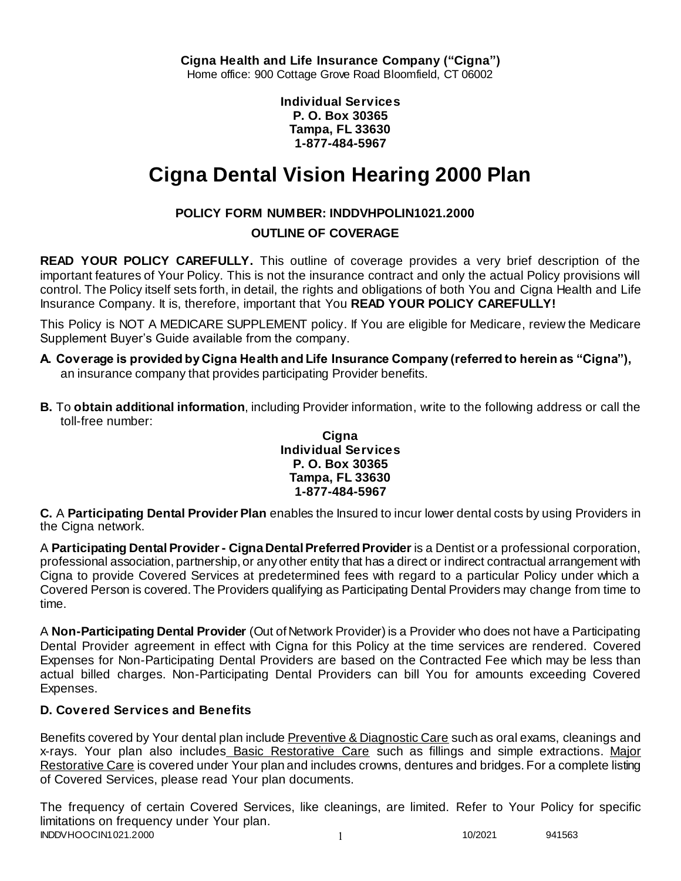**Individual Services P. O. Box 30365 Tampa, FL 33630 1-877-484-5967**

# **Cigna Dental Vision Hearing 2000 Plan**

# **POLICY FORM NUMBER: INDDVHPOLIN1021.2000**

# **OUTLINE OF COVERAGE**

**READ YOUR POLICY CAREFULLY.** This outline of coverage provides a very brief description of the important features of Your Policy. This is not the insurance contract and only the actual Policy provisions will control. The Policy itself sets forth, in detail, the rights and obligations of both You and Cigna Health and Life Insurance Company. It is, therefore, important that You **READ YOUR POLICY CAREFULLY!** 

This Policy is NOT A MEDICARE SUPPLEMENT policy. If You are eligible for Medicare, review the Medicare Supplement Buyer's Guide available from the company.

- **A. Coverage is provided by Cigna Health and Life Insurance Company (referred to herein as "Cigna"),**  an insurance company that provides participating Provider benefits.
- **B.** To **obtain additional information**, including Provider information, write to the following address or call the toll-free number:

#### **Cigna Individual Services P. O. Box 30365 Tampa, FL 33630 1-877-484-5967**

**C.** A **Participating Dental Provider Plan** enables the Insured to incur lower dental costs by using Providers in the Cigna network.

A **Participating Dental Provider - Cigna Dental Preferred Provider** is a Dentist or a professional corporation, professional association, partnership, or any other entity that has a direct or indirect contractual arrangement with Cigna to provide Covered Services at predetermined fees with regard to a particular Policy under which a Covered Person is covered. The Providers qualifying as Participating Dental Providers may change from time to time.

A **Non-Participating Dental Provider** (Out of Network Provider) is a Provider who does not have a Participating Dental Provider agreement in effect with Cigna for this Policy at the time services are rendered. Covered Expenses for Non-Participating Dental Providers are based on the Contracted Fee which may be less than actual billed charges. Non-Participating Dental Providers can bill You for amounts exceeding Covered Expenses.

# **D. Covered Services and Benefits**

Benefits covered by Your dental plan include Preventive & Diagnostic Care such as oral exams, cleanings and x-rays. Your plan also includes Basic Restorative Care such as fillings and simple extractions. Major Restorative Care is covered under Your plan and includes crowns, dentures and bridges. For a complete listing of Covered Services, please read Your plan documents.

INDDVHOOCIN1021.2000 1 10/2021 941563 The frequency of certain Covered Services, like cleanings, are limited. Refer to Your Policy for specific limitations on frequency under Your plan.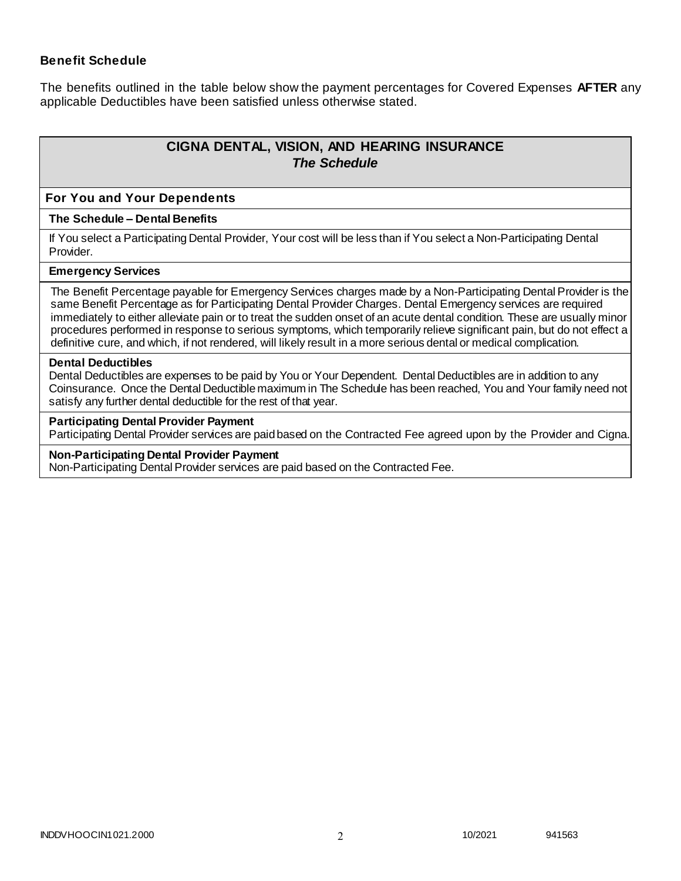### **Benefit Schedule**

The benefits outlined in the table below show the payment percentages for Covered Expenses **AFTER** any applicable Deductibles have been satisfied unless otherwise stated.

# **CIGNA DENTAL, VISION, AND HEARING INSURANCE** *The Schedule*

#### **For You and Your Dependents**

#### **The Schedule – Dental Benefits**

If You select a Participating Dental Provider, Your cost will be less than if You select a Non-Participating Dental Provider.

#### **Emergency Services**

The Benefit Percentage payable for Emergency Services charges made by a Non-Participating Dental Provider is the same Benefit Percentage as for Participating Dental Provider Charges. Dental Emergency services are required immediately to either alleviate pain or to treat the sudden onset of an acute dental condition. These are usually minor procedures performed in response to serious symptoms, which temporarily relieve significant pain, but do not effect a definitive cure, and which, if not rendered, will likely result in a more serious dental or medical complication.

#### **Dental Deductibles**

Dental Deductibles are expenses to be paid by You or Your Dependent. Dental Deductibles are in addition to any Coinsurance. Once the Dental Deductible maximum in The Schedule has been reached, You and Your family need not satisfy any further dental deductible for the rest of that year.

#### **Participating Dental Provider Payment**

Participating Dental Provider services are paid based on the Contracted Fee agreed upon by the Provider and Cigna.

#### **Non-Participating Dental Provider Payment**

Non-Participating Dental Provider services are paid based on the Contracted Fee.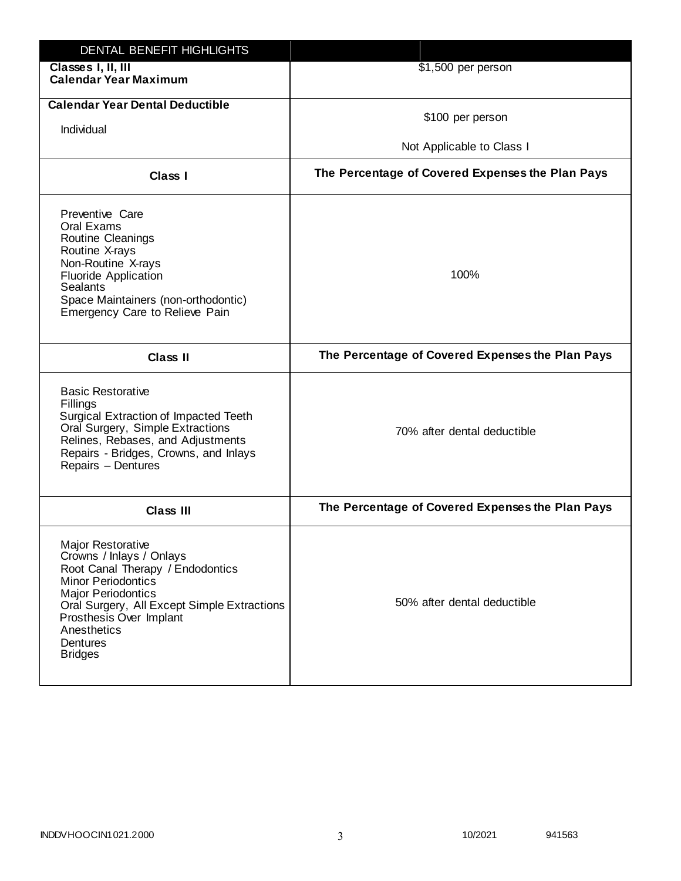| DENTAL BENEFIT HIGHLIGHTS                                                                                                                                                                                                                                                 |                                                  |
|---------------------------------------------------------------------------------------------------------------------------------------------------------------------------------------------------------------------------------------------------------------------------|--------------------------------------------------|
| Classes I, II, III<br><b>Calendar Year Maximum</b>                                                                                                                                                                                                                        | \$1,500 per person                               |
| <b>Calendar Year Dental Deductible</b><br>Individual                                                                                                                                                                                                                      | \$100 per person<br>Not Applicable to Class I    |
| Class I                                                                                                                                                                                                                                                                   | The Percentage of Covered Expenses the Plan Pays |
| Preventive Care<br>Oral Exams<br>Routine Cleanings<br>Routine X-rays<br>Non-Routine X-rays<br><b>Fluoride Application</b><br><b>Sealants</b><br>Space Maintainers (non-orthodontic)<br>Emergency Care to Relieve Pain                                                     | 100%                                             |
| <b>Class II</b>                                                                                                                                                                                                                                                           | The Percentage of Covered Expenses the Plan Pays |
| <b>Basic Restorative</b><br>Fillings<br>Surgical Extraction of Impacted Teeth<br>Oral Surgery, Simple Extractions<br>Relines, Rebases, and Adjustments<br>Repairs - Bridges, Crowns, and Inlays<br>Repairs - Dentures                                                     | 70% after dental deductible                      |
| <b>Class III</b>                                                                                                                                                                                                                                                          | The Percentage of Covered Expenses the Plan Pays |
| <b>Major Restorative</b><br>Crowns / Inlays / Onlays<br>Root Canal Therapy / Endodontics<br><b>Minor Periodontics</b><br><b>Major Periodontics</b><br>Oral Surgery, All Except Simple Extractions<br>Prosthesis Over Implant<br>Anesthetics<br>Dentures<br><b>Bridges</b> | 50% after dental deductible                      |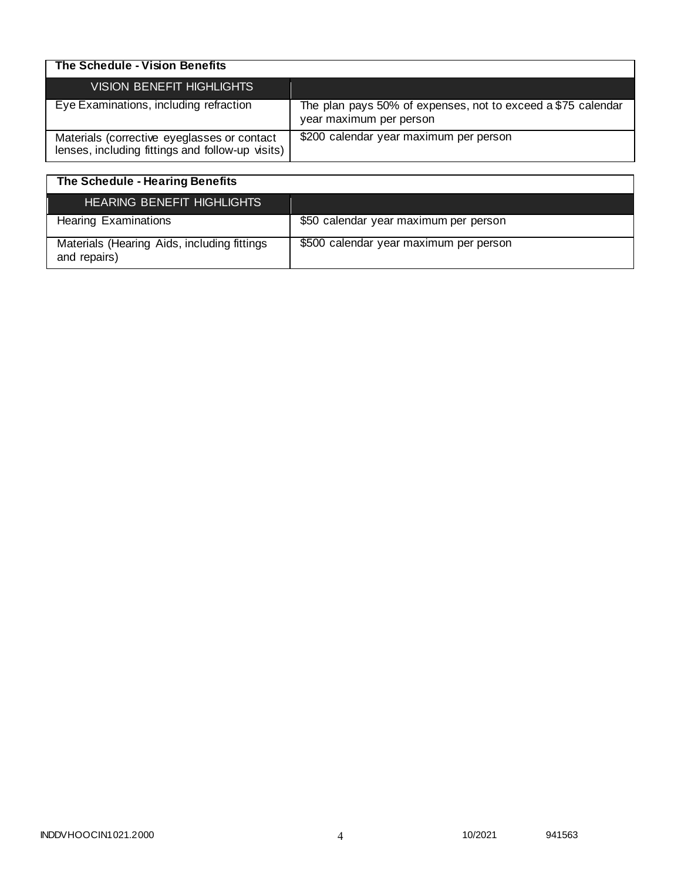| The Schedule - Vision Benefits                                                                  |                                                                                         |
|-------------------------------------------------------------------------------------------------|-----------------------------------------------------------------------------------------|
| VISION BENEFIT HIGHLIGHTS                                                                       |                                                                                         |
| Eye Examinations, including refraction                                                          | The plan pays 50% of expenses, not to exceed a \$75 calendar<br>year maximum per person |
| Materials (corrective eyeglasses or contact<br>lenses, including fittings and follow-up visits) | \$200 calendar year maximum per person                                                  |

| The Schedule - Hearing Benefits                             |                                        |
|-------------------------------------------------------------|----------------------------------------|
| HEARING BENEFIT HIGHLIGHTS                                  |                                        |
| <b>Hearing Examinations</b>                                 | \$50 calendar year maximum per person  |
| Materials (Hearing Aids, including fittings<br>and repairs) | \$500 calendar year maximum per person |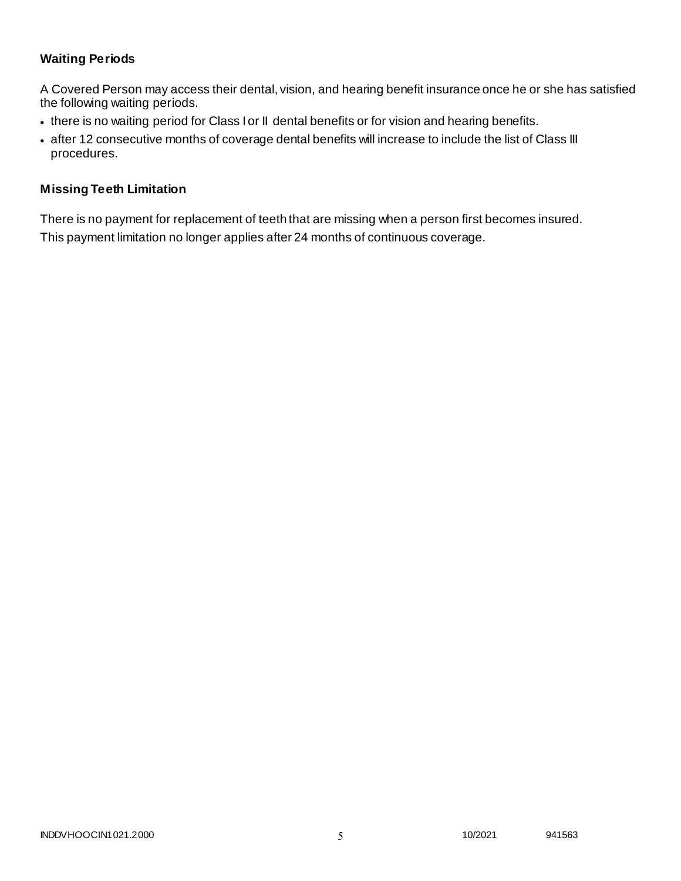# **Waiting Periods**

A Covered Person may access their dental, vision, and hearing benefit insurance once he or she has satisfied the following waiting periods.

- there is no waiting period for Class I or II dental benefits or for vision and hearing benefits.
- after 12 consecutive months of coverage dental benefits will increase to include the list of Class III procedures.

### **Missing Teeth Limitation**

There is no payment for replacement of teeth that are missing when a person first becomes insured. This payment limitation no longer applies after 24 months of continuous coverage.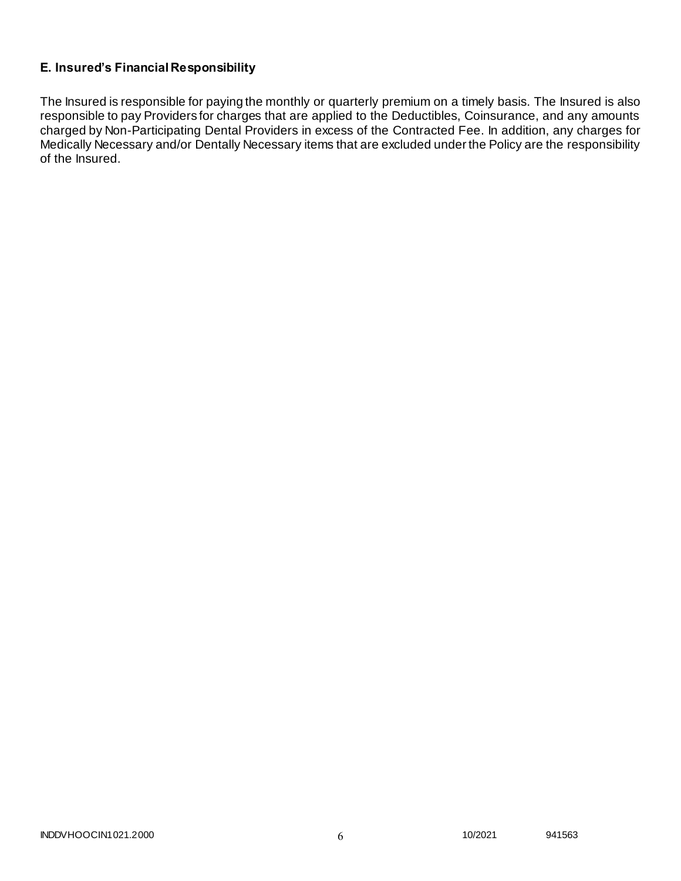# **E. Insured's Financial Responsibility**

The Insured is responsible for paying the monthly or quarterly premium on a timely basis. The Insured is also responsible to pay Providers for charges that are applied to the Deductibles, Coinsurance, and any amounts charged by Non-Participating Dental Providers in excess of the Contracted Fee. In addition, any charges for Medically Necessary and/or Dentally Necessary items that are excluded under the Policy are the responsibility of the Insured.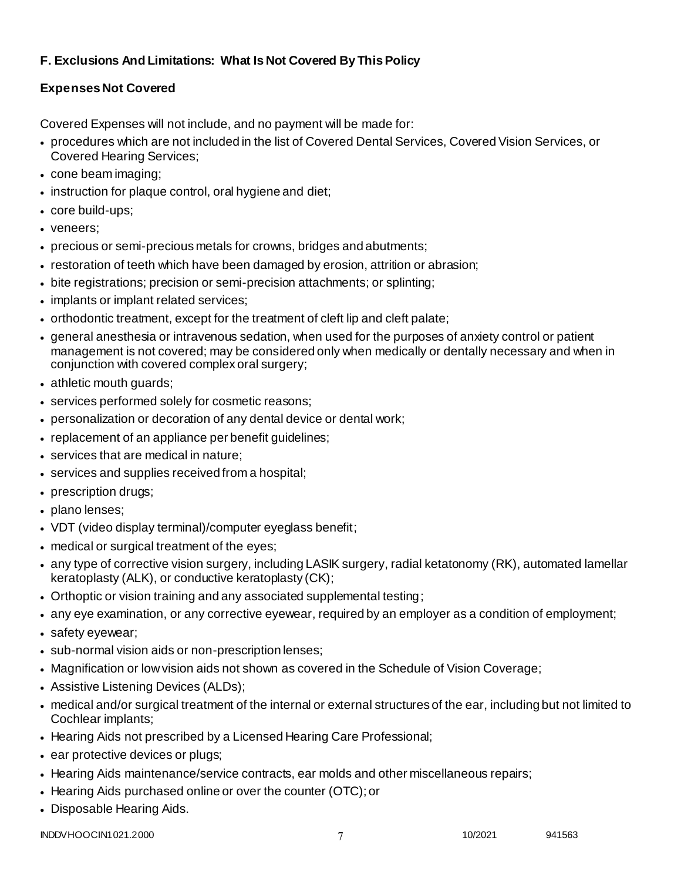# **F. Exclusions And Limitations: What Is Not Covered By This Policy**

# **Expenses Not Covered**

Covered Expenses will not include, and no payment will be made for:

- procedures which are not included in the list of Covered Dental Services, Covered Vision Services, or Covered Hearing Services;
- cone beam imaging;
- instruction for plaque control, oral hygiene and diet;
- core build-ups;
- veneers;
- precious or semi-precious metals for crowns, bridges and abutments;
- restoration of teeth which have been damaged by erosion, attrition or abrasion;
- bite registrations; precision or semi-precision attachments; or splinting;
- implants or implant related services;
- orthodontic treatment, except for the treatment of cleft lip and cleft palate;
- general anesthesia or intravenous sedation, when used for the purposes of anxiety control or patient management is not covered; may be considered only when medically or dentally necessary and when in conjunction with covered complex oral surgery;
- athletic mouth guards;
- services performed solely for cosmetic reasons;
- personalization or decoration of any dental device or dental work;
- replacement of an appliance per benefit guidelines;
- services that are medical in nature:
- services and supplies received from a hospital;
- prescription drugs;
- plano lenses:
- VDT (video display terminal)/computer eyeglass benefit;
- medical or surgical treatment of the eyes;
- any type of corrective vision surgery, including LASIK surgery, radial ketatonomy (RK), automated lamellar keratoplasty (ALK), or conductive keratoplasty (CK);
- Orthoptic or vision training and any associated supplemental testing;
- any eye examination, or any corrective eyewear, required by an employer as a condition of employment;
- safety eyewear;
- sub-normal vision aids or non-prescription lenses;
- Magnification or low vision aids not shown as covered in the Schedule of Vision Coverage;
- Assistive Listening Devices (ALDs);
- medical and/or surgical treatment of the internal or external structures of the ear, including but not limited to Cochlear implants;
- Hearing Aids not prescribed by a Licensed Hearing Care Professional;
- ear protective devices or plugs;
- Hearing Aids maintenance/service contracts, ear molds and other miscellaneous repairs;
- Hearing Aids purchased online or over the counter (OTC); or
- Disposable Hearing Aids.

INDDVHOOCIN1021.2000 10/2021 941563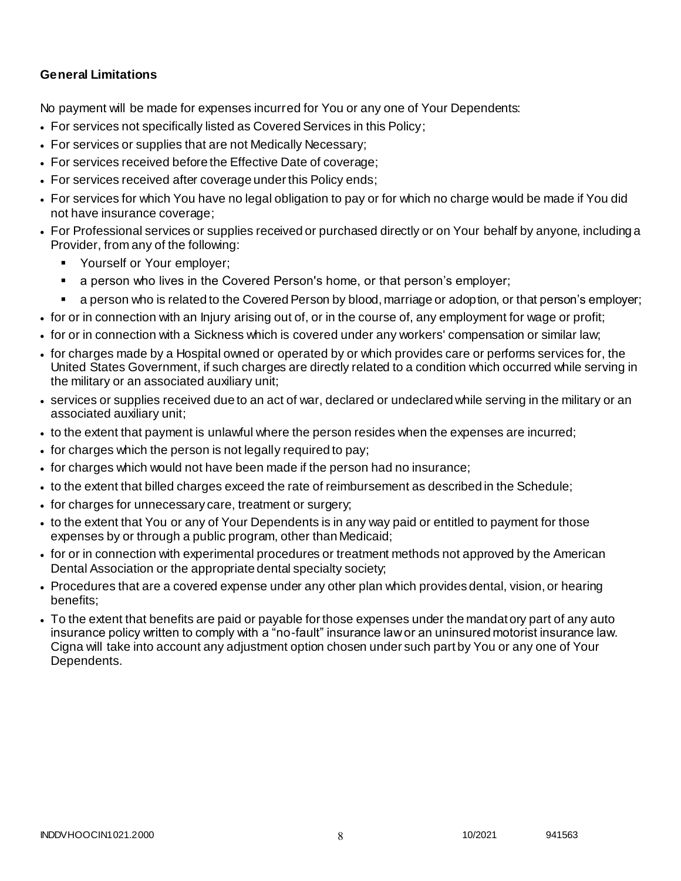### **General Limitations**

No payment will be made for expenses incurred for You or any one of Your Dependents:

- For services not specifically listed as Covered Services in this Policy;
- For services or supplies that are not Medically Necessary;
- For services received before the Effective Date of coverage;
- For services received after coverage under this Policy ends;
- For services for which You have no legal obligation to pay or for which no charge would be made if You did not have insurance coverage;
- For Professional services or supplies received or purchased directly or on Your behalf by anyone, including a Provider, from any of the following:
	- **Yourself or Your employer;**
	- a person who lives in the Covered Person's home, or that person's employer;
	- a person who is related to the Covered Person by blood, marriage or adoption, or that person's employer;
- for or in connection with an Injury arising out of, or in the course of, any employment for wage or profit;
- for or in connection with a Sickness which is covered under any workers' compensation or similar law;
- for charges made by a Hospital owned or operated by or which provides care or performs services for, the United States Government, if such charges are directly related to a condition which occurred while serving in the military or an associated auxiliary unit;
- services or supplies received due to an act of war, declared or undeclared while serving in the military or an associated auxiliary unit;
- to the extent that payment is unlawful where the person resides when the expenses are incurred;
- for charges which the person is not legally required to pay;
- for charges which would not have been made if the person had no insurance;
- to the extent that billed charges exceed the rate of reimbursement as described in the Schedule;
- for charges for unnecessary care, treatment or surgery;
- to the extent that You or any of Your Dependents is in any way paid or entitled to payment for those expenses by or through a public program, other than Medicaid;
- for or in connection with experimental procedures or treatment methods not approved by the American Dental Association or the appropriate dental specialty society;
- Procedures that are a covered expense under any other plan which provides dental, vision, or hearing benefits;
- To the extent that benefits are paid or payable for those expenses under the mandatory part of any auto insurance policy written to comply with a "no-fault" insurance law or an uninsured motorist insurance law. Cigna will take into account any adjustment option chosen under such part by You or any one of Your Dependents.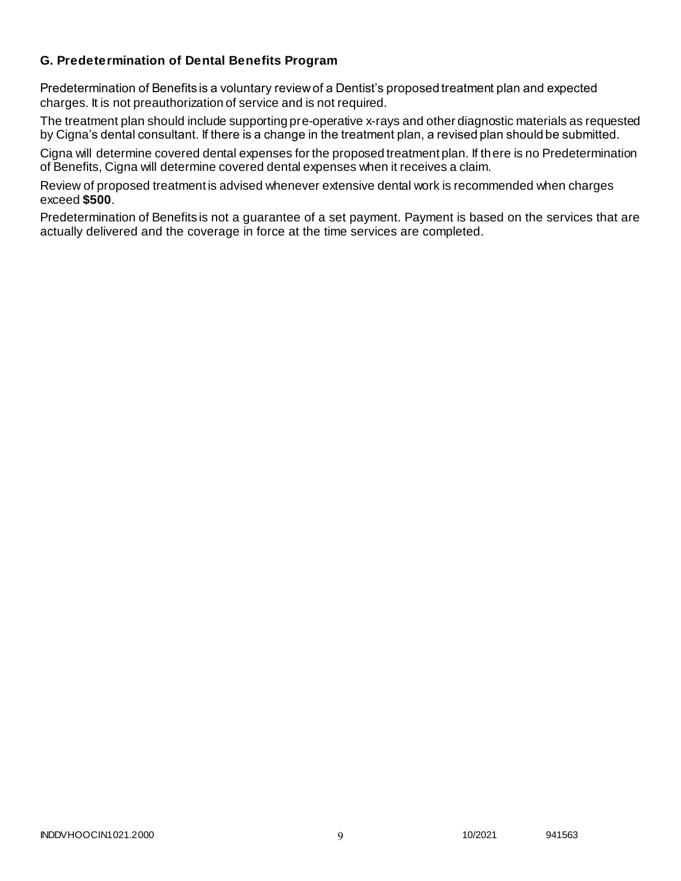### **G. Predetermination of Dental Benefits Program**

Predetermination of Benefits is a voluntary review of a Dentist's proposed treatment plan and expected charges. It is not preauthorization of service and is not required.

The treatment plan should include supporting pre-operative x-rays and other diagnostic materials as requested by Cigna's dental consultant. If there is a change in the treatment plan, a revised plan should be submitted.

Cigna will determine covered dental expenses for the proposed treatment plan. If there is no Predetermination of Benefits, Cigna will determine covered dental expenses when it receives a claim.

Review of proposed treatment is advised whenever extensive dental work is recommended when charges exceed **\$500**.

Predetermination of Benefits is not a guarantee of a set payment. Payment is based on the services that are actually delivered and the coverage in force at the time services are completed.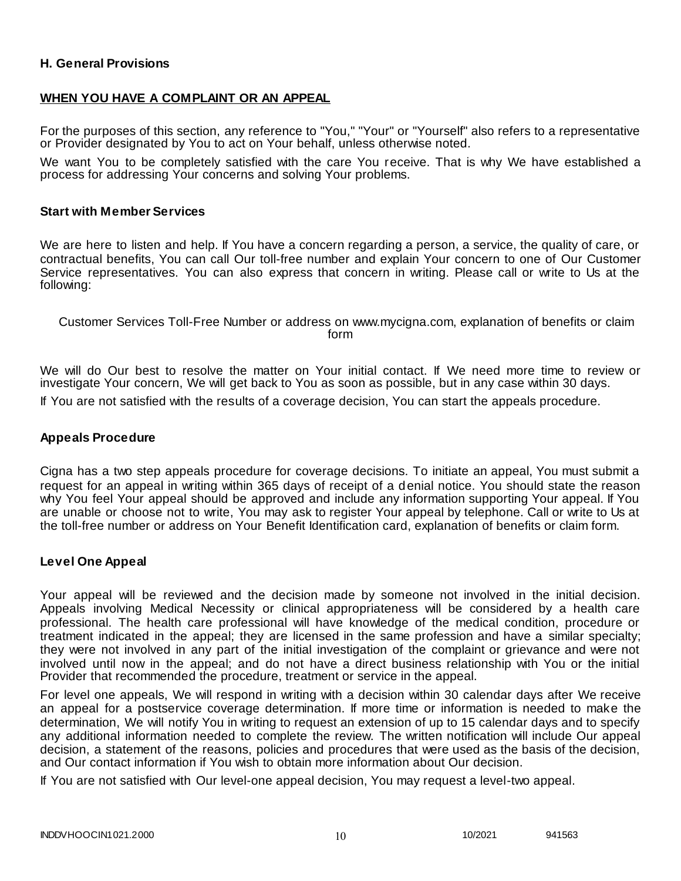### **H. General Provisions**

### **WHEN YOU HAVE A COMPLAINT OR AN APPEAL**

For the purposes of this section, any reference to "You," "Your" or "Yourself" also refers to a representative or Provider designated by You to act on Your behalf, unless otherwise noted.

We want You to be completely satisfied with the care You receive. That is why We have established a process for addressing Your concerns and solving Your problems.

#### **Start with Member Services**

We are here to listen and help. If You have a concern regarding a person, a service, the quality of care, or contractual benefits, You can call Our toll-free number and explain Your concern to one of Our Customer Service representatives. You can also express that concern in writing. Please call or write to Us at the following:

Customer Services Toll-Free Number or address on www.mycigna.com, explanation of benefits or claim form

We will do Our best to resolve the matter on Your initial contact. If We need more time to review or investigate Your concern, We will get back to You as soon as possible, but in any case within 30 days.

If You are not satisfied with the results of a coverage decision, You can start the appeals procedure.

#### **Appeals Procedure**

Cigna has a two step appeals procedure for coverage decisions. To initiate an appeal, You must submit a request for an appeal in writing within 365 days of receipt of a denial notice. You should state the reason why You feel Your appeal should be approved and include any information supporting Your appeal. If You are unable or choose not to write, You may ask to register Your appeal by telephone. Call or write to Us at the toll-free number or address on Your Benefit Identification card, explanation of benefits or claim form.

#### **Level One Appeal**

Your appeal will be reviewed and the decision made by someone not involved in the initial decision. Appeals involving Medical Necessity or clinical appropriateness will be considered by a health care professional. The health care professional will have knowledge of the medical condition, procedure or treatment indicated in the appeal; they are licensed in the same profession and have a similar specialty; they were not involved in any part of the initial investigation of the complaint or grievance and were not involved until now in the appeal; and do not have a direct business relationship with You or the initial Provider that recommended the procedure, treatment or service in the appeal.

For level one appeals, We will respond in writing with a decision within 30 calendar days after We receive an appeal for a postservice coverage determination. If more time or information is needed to make the determination, We will notify You in writing to request an extension of up to 15 calendar days and to specify any additional information needed to complete the review. The written notification will include Our appeal decision, a statement of the reasons, policies and procedures that were used as the basis of the decision, and Our contact information if You wish to obtain more information about Our decision.

If You are not satisfied with Our level-one appeal decision, You may request a level-two appeal.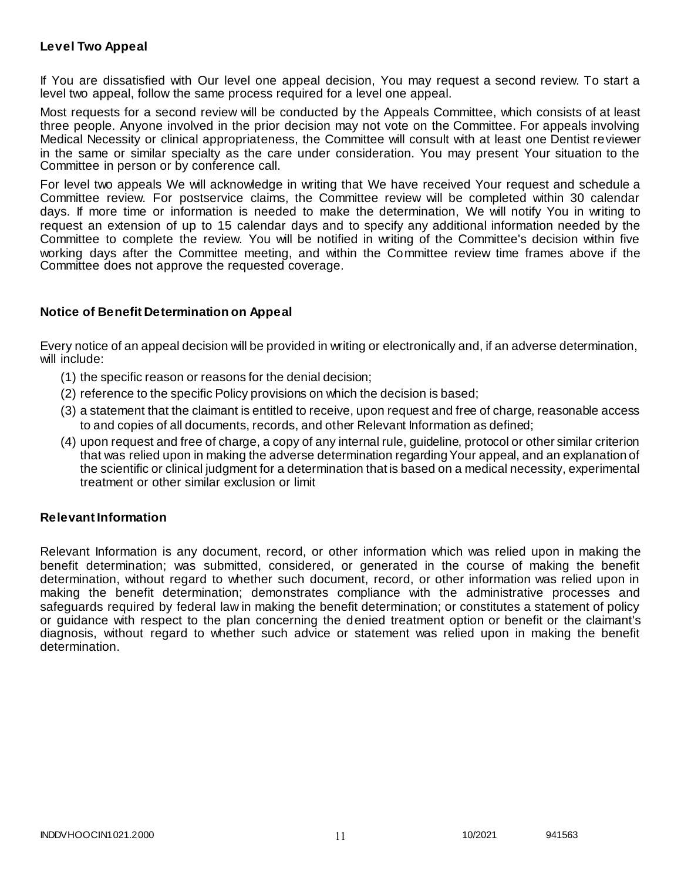### **Level Two Appeal**

If You are dissatisfied with Our level one appeal decision, You may request a second review. To start a level two appeal, follow the same process required for a level one appeal.

Most requests for a second review will be conducted by the Appeals Committee, which consists of at least three people. Anyone involved in the prior decision may not vote on the Committee. For appeals involving Medical Necessity or clinical appropriateness, the Committee will consult with at least one Dentist reviewer in the same or similar specialty as the care under consideration. You may present Your situation to the Committee in person or by conference call.

For level two appeals We will acknowledge in writing that We have received Your request and schedule a Committee review. For postservice claims, the Committee review will be completed within 30 calendar days. If more time or information is needed to make the determination, We will notify You in writing to request an extension of up to 15 calendar days and to specify any additional information needed by the Committee to complete the review. You will be notified in writing of the Committee's decision within five working days after the Committee meeting, and within the Committee review time frames above if the Committee does not approve the requested coverage.

### **Notice of Benefit Determination on Appeal**

Every notice of an appeal decision will be provided in writing or electronically and, if an adverse determination, will include:

- (1) the specific reason or reasons for the denial decision;
- (2) reference to the specific Policy provisions on which the decision is based;
- (3) a statement that the claimant is entitled to receive, upon request and free of charge, reasonable access to and copies of all documents, records, and other Relevant Information as defined;
- (4) upon request and free of charge, a copy of any internal rule, guideline, protocol or other similar criterion that was relied upon in making the adverse determination regarding Your appeal, and an explanation of the scientific or clinical judgment for a determination that is based on a medical necessity, experimental treatment or other similar exclusion or limit

### **Relevant Information**

Relevant Information is any document, record, or other information which was relied upon in making the benefit determination; was submitted, considered, or generated in the course of making the benefit determination, without regard to whether such document, record, or other information was relied upon in making the benefit determination; demonstrates compliance with the administrative processes and safeguards required by federal law in making the benefit determination; or constitutes a statement of policy or guidance with respect to the plan concerning the denied treatment option or benefit or the claimant's diagnosis, without regard to whether such advice or statement was relied upon in making the benefit determination.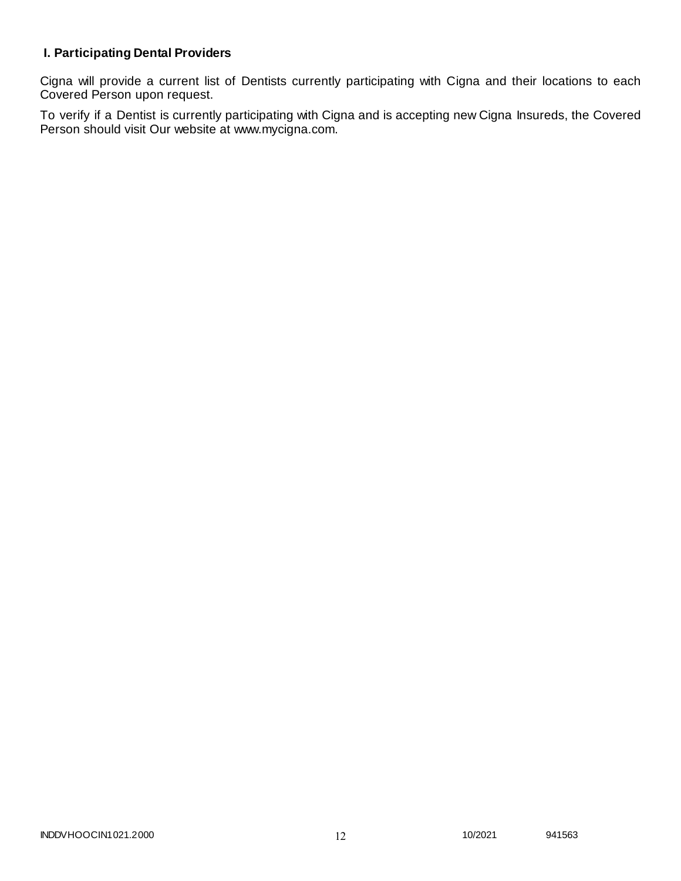# **I. Participating Dental Providers**

Cigna will provide a current list of Dentists currently participating with Cigna and their locations to each Covered Person upon request.

To verify if a Dentist is currently participating with Cigna and is accepting new Cigna Insureds, the Covered Person should visit Our website at www.mycigna.com.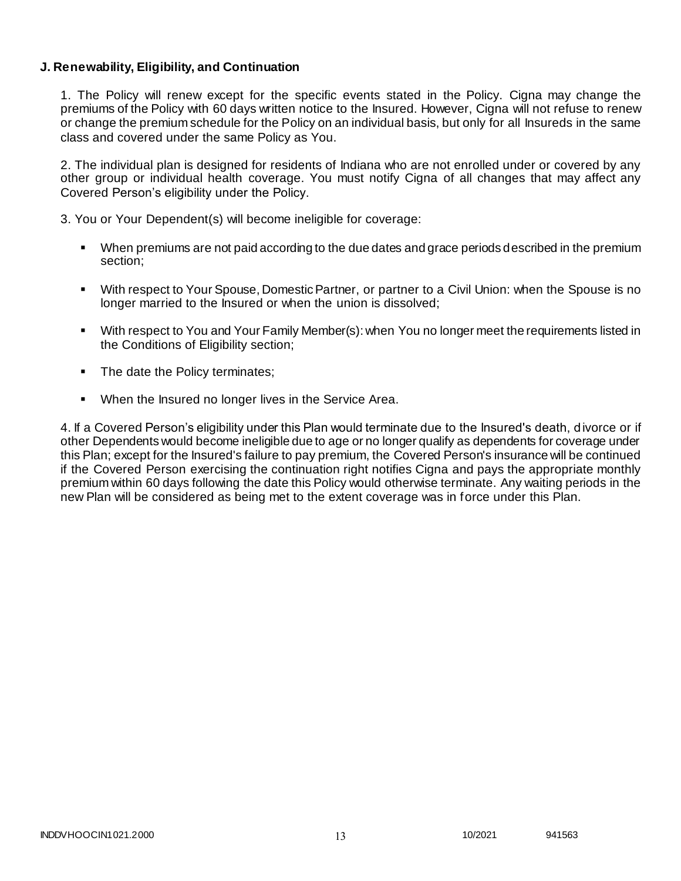### **J. Renewability, Eligibility, and Continuation**

1. The Policy will renew except for the specific events stated in the Policy. Cigna may change the premiums of the Policy with 60 days written notice to the Insured. However, Cigna will not refuse to renew or change the premium schedule for the Policy on an individual basis, but only for all Insureds in the same class and covered under the same Policy as You.

2. The individual plan is designed for residents of Indiana who are not enrolled under or covered by any other group or individual health coverage. You must notify Cigna of all changes that may affect any Covered Person's eligibility under the Policy.

3. You or Your Dependent(s) will become ineligible for coverage:

- When premiums are not paid according to the due dates and grace periods described in the premium section;
- With respect to Your Spouse, Domestic Partner, or partner to a Civil Union: when the Spouse is no longer married to the Insured or when the union is dissolved;
- With respect to You and Your Family Member(s): when You no longer meet the requirements listed in the Conditions of Eligibility section;
- The date the Policy terminates;
- When the Insured no longer lives in the Service Area.

4. If a Covered Person's eligibility under this Plan would terminate due to the Insured's death, divorce or if other Dependents would become ineligible due to age or no longer qualify as dependents for coverage under this Plan; except for the Insured's failure to pay premium, the Covered Person's insurance will be continued if the Covered Person exercising the continuation right notifies Cigna and pays the appropriate monthly premium within 60 days following the date this Policy would otherwise terminate. Any waiting periods in the new Plan will be considered as being met to the extent coverage was in force under this Plan.